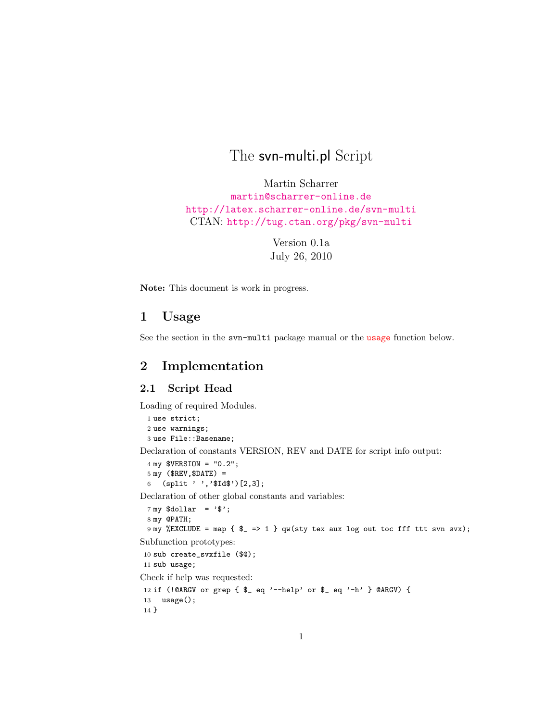# The svn-multi.pl Script

Martin Scharrer <martin@scharrer-online.de> <http://latex.scharrer-online.de/svn-multi> CTAN: <http://tug.ctan.org/pkg/svn-multi>

> Version 0.1a July 26, 2010

Note: This document is work in progress.

## 1 Usage

See the section in the svn-multi package manual or the [usage](#page-6-0) function below.

### 2 Implementation

### 2.1 Script Head

Loading of required Modules.

1 use strict; 2 use warnings; 3 use File::Basename;

Declaration of constants VERSION, REV and DATE for script info output:

```
4 my $VERSION = "0.2";
5 my ($REV,$DATE) =
6 (split ' ','$Id$'')[2,3];
```
Declaration of other global constants and variables:

```
7 my \deltadollar = '\delta';
 8 my @PATH;
 9 my %EXCLUDE = map { $_ => 1 } qw(sty tex aux log out toc fff ttt svn svx);
Subfunction prototypes:
```

```
10 sub create_svxfile ($@);
11 sub usage;
```
Check if help was requested:

```
12 if (!@ARGV or grep { $_ eq '--help' or $_ eq '-h' } @ARGV) {
13 usage();
14 }
```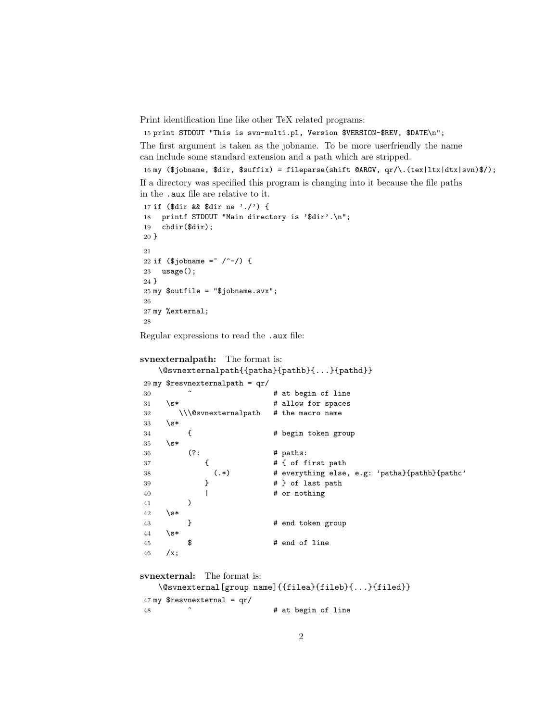Print identification line like other TeX related programs:

15 print STDOUT "This is svn-multi.pl, Version \$VERSION-\$REV, \$DATE\n";

The first argument is taken as the jobname. To be more userfriendly the name can include some standard extension and a path which are stripped.

```
16 my ($jobname, $dir, $suffix) = fileparse(shift @ARGV, qr/\.(tex|ltx|dtx|svn)$/);
```
If a directory was specified this program is changing into it because the file paths in the .aux file are relative to it.

```
17 if ($dir && $dir ne './') {
18 printf STDOUT "Main directory is '$dir'.\n";
19 chdir($dir);
20 }
21
22 if ($jobname = \degree /^-/) {
23 usage();
24 }
25 \text{ my} $outfile = "$jobname.svx";
26
27 my %external;
28
```
Regular expressions to read the .aux file:

```
svnexternalpath: The format is:
   \@svnexternalpath{{patha}{pathb}{...}{pathd}}
29 my $resvnexternalpath = qr/
30 \sim \sim # at begin of line
31 \simeq \star # allow for spaces
32 \\\@svnexternalpath # the macro name
33 \times 3^*34 { # begin token group
35 \succeq36 (?: # paths:
37 \{ # { of first path
38 (.*) # everything else, e.g: 'patha}{pathb}{pathc'
39 } # } of last path
40 | # or nothing
41 )
42 \times43 		 } 		 # end token group
44 \s*
45 \frac{1}{2} $ # end of line
46 / x;svnexternal: The format is:
```

```
\@svnexternal[group name]{{filea}{fileb}{...}{filed}}
47 my $resvnexternal = qr/
```
48  $\sim$   $\sim$  # at begin of line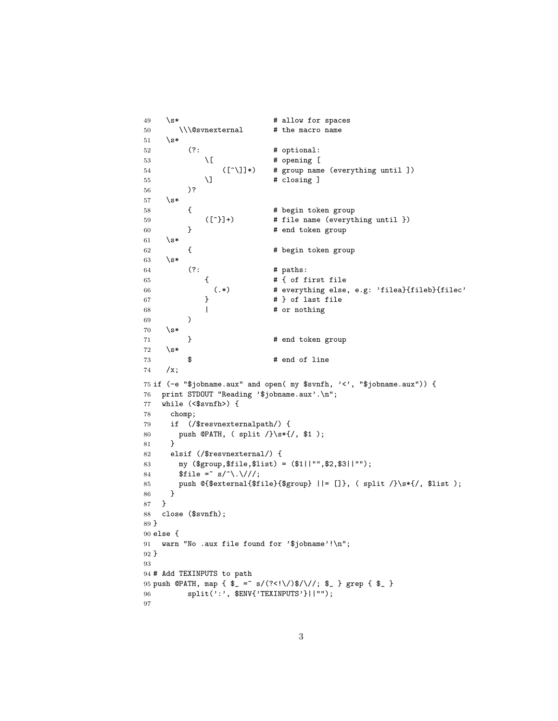```
49 \& * # allow for spaces
50 \\\@svnexternal # the macro name
51 \simeq52 (?: # optional:
53 \setminus [ \qquad # opening [
54 ([^\]]*) # group name (everything until ])
55 \] # closing ]
56 )?
57 \s*
58 { \qquad # begin token group
59 ([^}]+) # file name (everything until })
60 } # end token group
61 \simeq62 { \qquad \qquad \qquad \qquad \qquad \qquad \qquad \qquad \qquad \qquad \qquad \qquad \qquad \qquad \qquad \qquad \qquad \qquad \qquad \qquad \qquad \qquad \qquad \qquad \qquad \qquad \qquad \qquad \qquad \qquad \qquad \qquad \qquad \qquad \qquad \qquad 63 \sqrt{s*}64 (?: # paths:
65 { # { of first file
66 (.*) # everything else, e.g: 'filea}{fileb}{filec'
67 } # } of last file
68 | # or nothing
69 )
70 \quad \text{S*}71 } # end token group
72 \quad \simeq73 \frac{1}{2} $ # end of line
74 /x;
75 if (-e "$jobname.aux" and open( my $svnfh, '<', "$jobname.aux")) {
76 print STDOUT "Reading '$jobname.aux'.\n";
77 while (<$svnfh>) {
78 chomp;
79 if (/$resvnexternalpath/) {
80 push @PATH, ( split /}\s*{/, $1 );
81 }
82 elsif (/$resvnexternal/) {
83 my ($group,$file,$list) = ($1||"",$2,$3||"");
84 $file =^* s/^\\.\/\//;85 push @{$external{$file}{$group} ||= []}, ( split /}\s*{/, $list );
86 }
87 }
88 close ($svnfh);
89 }
90 else {
91 warn "No .aux file found for '$jobname'!\n";
92 }
93
94 # Add TEXINPUTS to path
95 push @PATH, map { \ell = \frac{\pi}{3} s/(?<!\/)\/\/; \ell } grep { \ell }
96 split(':', $ENV{'TEXINPUTS'}||"");
97
```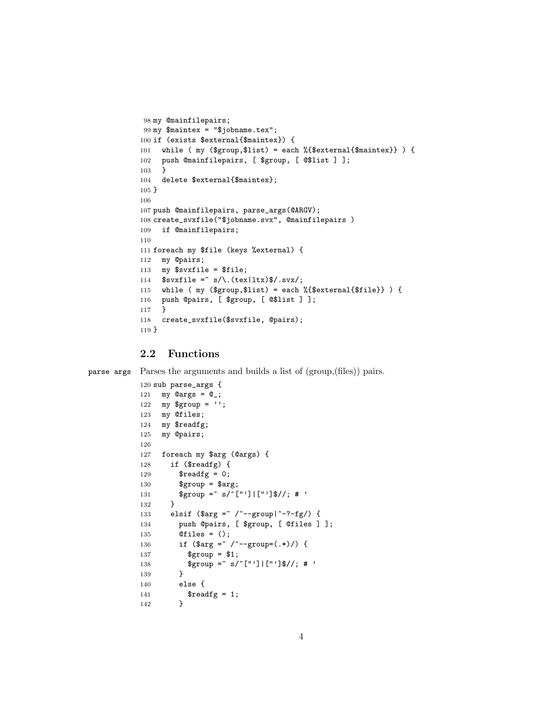```
98 my @mainfilepairs;
99 my $maintex = "$jobname.tex";
100 if (exists $external{$maintex}) {
101 while ( my ($group,$list) = each %{$external{$maintex}} ) {
102 push @mainfilepairs, [ $group, [ @$list ] ];
103 }
104 delete $external{$maintex};
105 }
106
107 push @mainfilepairs, parse_args(@ARGV);
108 create_svxfile("$jobname.svx", @mainfilepairs )
109 if @mainfilepairs;
110
111 foreach my $file (keys %external) {
112 my @pairs;
113 my $svxfile = $file;
114 $svxfile = s/\.\text{(tex|ltx)}\%.\text{svx};115 while ( my ($group,$list) = each %{$external{$file}} ) {
116 push @pairs, [ $group, [ @$list ] ];
117 }
118 create_svxfile($svxfile, @pairs);
119 }
```
### 2.2 Functions

parse args Parses the arguments and builds a list of (group,(files)) pairs.

```
120 sub parse_args {
121 my @args = @_{-};122 my $group = '';
123 my @files;
124 my $readfg;
125 my @pairs;
126
127 foreach my $arg (@args) {
128 if ($readfg) {
129 \text{Sreadfg} = 0;130 $group = $arg;
131 $group = ~ s/ ^ ["']|["']$//; # '
132 }
133 elsif ($arg = \degree /^--group|^-?-fg/) {
134 push @pairs, [ $group, [ @files ] ];
135 @files = ();
136 if ($arg =^{\sim}/^{\sim}-group=(.*)/) {
137 $group = $1;
138 $group = s/ ["']|["']$//; # '
139 }
140 else {
141    $readfg = 1;
142 }
```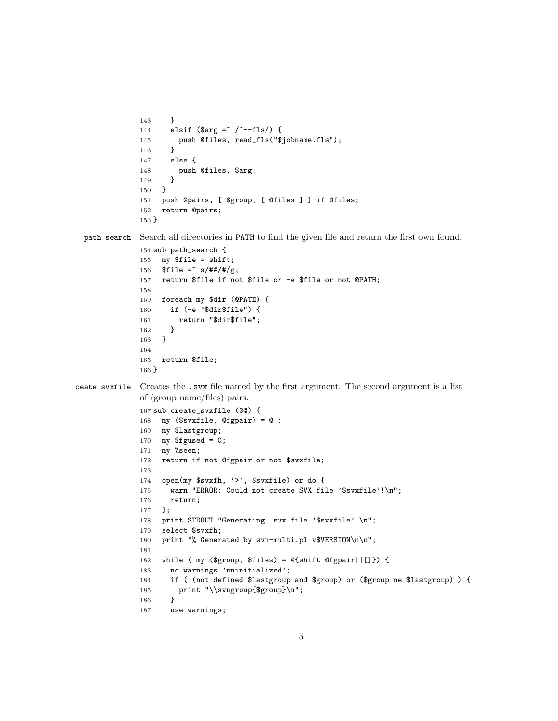```
143 }
              144 elsif ($arg = ' /^--fls/) {
              145 push @files, read_fls("$jobname.fls");
              146 }
              147 else {
              148 push @files, $arg;
              149 }
              150 }
              151 push @pairs, [ $group, [ @files ] ] if @files;
              152 return @pairs;
              153 }
  path search Search all directories in PATH to find the given file and return the first own found.
              154 sub path_search {
              155 my $file = shift;
              156 $file =^* s/### / # / g;157 return $file if not $file or -e $file or not @PATH;
              158
              159 foreach my $dir (@PATH) {
              160 if (-e "$dir$file") {
              161 return "$dir$file";
              162 }
              163 }
              164
              165 return $file;
              166 }
ceate svxfile Creates the .svx file named by the first argument. The second argument is a list
              of (group name/files) pairs.
              167 sub create_svxfile ($@) {
              168 my ($svxfile, @fgpair) = @_{;}169 my $lastgroup;
              170 my $fgused = 0;
              171 my %seen;
              172 return if not @fgpair or not $svxfile;
              173
              174 open(my $svxfh, '>', $svxfile) or do {
              175 warn "ERROR: Could not create SVX file '$svxfile'!\n";
              176 return;
              177 };
              178 print STDOUT "Generating .svx file '$svxfile'.\n";
              179 select $svxfh;
              180 print "% Generated by svn-multi.pl v$VERSION\n\n";
              181
              182 while ( my ($group, $files) = @{shift @fgpair||[]}) {
              183 no warnings 'uninitialized';
              184 if ( (not defined $lastgroup and $group) or ($group ne $lastgroup) ) {
              185 print "\\svngroup{$group}\n";
              186 }
              187 use warnings;
```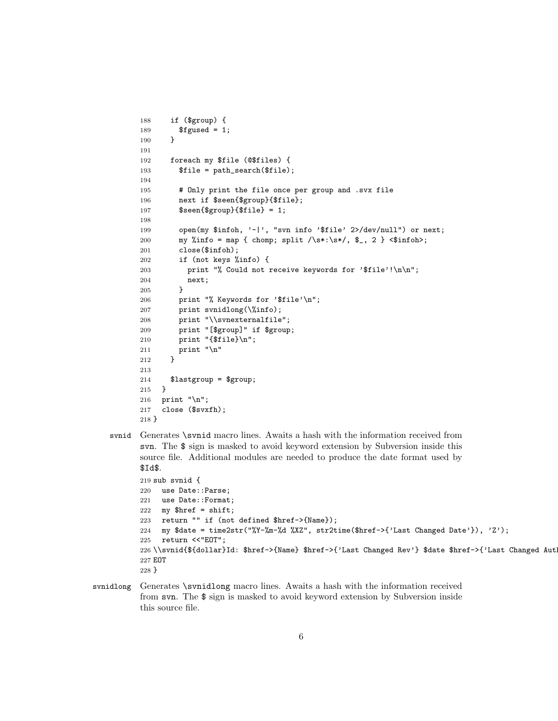```
188 if ($group) {
189 $fgused = 1;190 }
191
192 foreach my $file (@$files) {
193 $file = path_search($file);
194
195 # Only print the file once per group and .svx file
196 next if $seen{$group}{$file};
197 $seen{$group}{$file} = 1;
198
199 open(my $infoh, '-|', "svn info '$file' 2>/dev/null") or next;
200 my %info = map { chomp; split /\s<sup>*</sup>: \s<sup>*</sup>, \S_, 2 } <$infoh>;
201 close($infoh);
202 if (not keys %info) {
203 print "% Could not receive keywords for '$file'!\n\n";
204 next;
205 }
206 print "% Keywords for '$file'\n";
207 print svnidlong(\%info);
208 print "\\svnexternalfile";
209 print "[$group]" if $group;
210 print "{$file}\n";
211 print "\n\pi"
212 }
213
214 $lastgroup = $group;
215 }
216 print "\n";
217 close ($svxfh);
218 }
```
svnid Generates \svnid macro lines. Awaits a hash with the information received from svn. The \$ sign is masked to avoid keyword extension by Subversion inside this source file. Additional modules are needed to produce the date format used by \$Id\$.

```
219 sub svnid {
220 use Date::Parse;
221 use Date::Format;
222 my $href = shift;
223 return "" if (not defined $href->{Name});
224 my $date = time2str("%Y-%m-%d %XZ", str2time($href->{'Last Changed Date'}), 'Z');
225 return <<"EOT";
226 \\svnid{${dollar}Id: $href->{Name} $href->{'Last Changed Rev'} $date $href->{'Last Changed Aut
227 EOT
228 }
```
svnidlong Generates \svnidlong macro lines. Awaits a hash with the information received from svn. The \$ sign is masked to avoid keyword extension by Subversion inside this source file.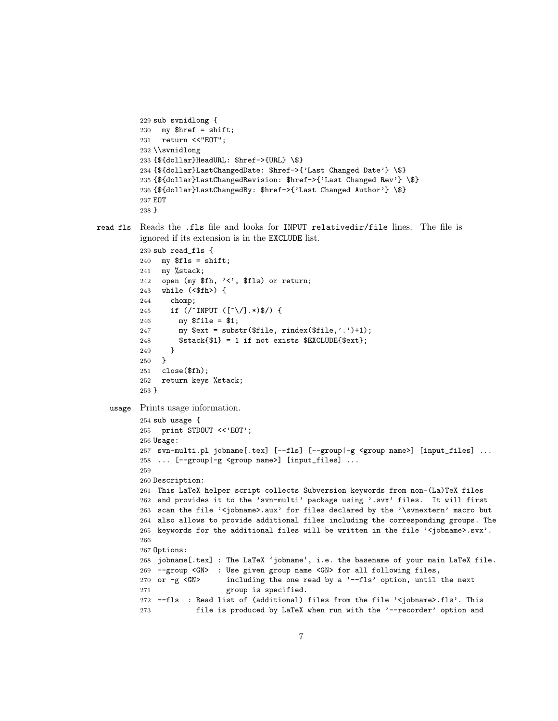```
229 sub svnidlong {
          230 my $href = shift;
          231 return <<"EOT";
          232 \\svnidlong
          233 {${dollar}HeadURL: $href->{URL} \$}
          234 {${dollar}LastChangedDate: $href->{'Last Changed Date'} \$}
          235 {${dollar}LastChangedRevision: $href->{'Last Changed Rev'} \$}
          236 {${dollar}LastChangedBy: $href->{'Last Changed Author'} \$}
          237 EOT
          238 }
read fls Reads the .fls file and looks for INPUT relativedir/file lines. The file is
         ignored if its extension is in the EXCLUDE list.
          239 sub read_fls {
          240 my fls = shift;241 my %stack;
          242 open (my $fh, '<', $fls) or return;
          243 while (<$fh>) {
          244 chomp;
          245 if (/^INPUT ([^\/].*)$/) {
          246 my $file = $1;
          247 my x = \text{substr}(\text{file}, \text{rindex}(\text{file}, \cdot, \cdot) + 1);248 $stack{$1} = 1 if not exists $EXCLUDE{$ext};
          249 }
          250 }
          251 close($fh);
          252 return keys %stack;
         253 }
   usage Prints usage information.
          254 sub usage {
          255 print STDOUT <<'EOT';
          256 Usage:
          257 svn-multi.pl jobname[.tex] [--fls] [--group|-g <group name>] [input_files] ...
          258 ... [--group|-g <group name>] [input_files] ...
          259
          260 Description:
          261 This LaTeX helper script collects Subversion keywords from non-(La)TeX files
          262 and provides it to the 'svn-multi' package using '.svx' files. It will first
          263 scan the file '<jobname>.aux' for files declared by the '\svnextern' macro but
          264 also allows to provide additional files including the corresponding groups. The
          265 keywords for the additional files will be written in the file '<jobname>.svx'.
          266
          267 Options:
          268 jobname[.tex] : The LaTeX 'jobname', i.e. the basename of your main LaTeX file.
          269 --group <GN> : Use given group name <GN> for all following files,
          270 or -g <GN> including the one read by a '--fls' option, until the next
          271 group is specified.
          272 --fls : Read list of (additional) files from the file '<jobname>.fls'. This
          273 file is produced by LaTeX when run with the '--recorder' option and
```